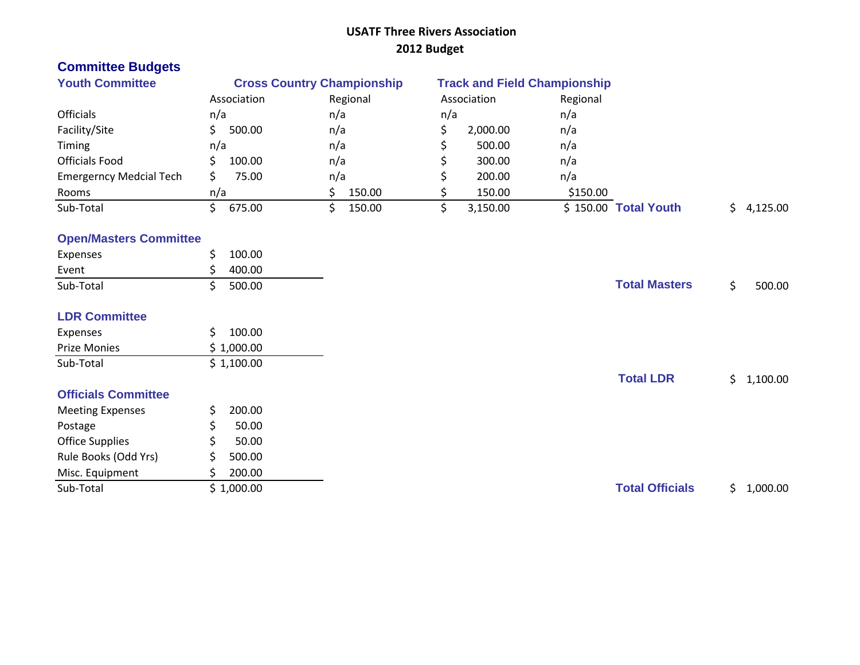### **USATF Three Rivers Association 2012 Budget**

# **Committee Budgets**

| <b>Youth Committee</b>         | <b>Cross Country Championship</b> |          | <b>Track and Field Championship</b> |                      |          |
|--------------------------------|-----------------------------------|----------|-------------------------------------|----------------------|----------|
|                                | Association                       | Regional | Association                         | Regional             |          |
| <b>Officials</b>               | n/a                               | n/a      | n/a                                 | n/a                  |          |
| Facility/Site                  | 500.00                            | n/a      | 2,000.00                            | n/a                  |          |
| Timing                         | n/a                               | n/a      | 500.00                              | n/a                  |          |
| <b>Officials Food</b>          | 100.00                            | n/a      | 300.00                              | n/a                  |          |
| <b>Emergerncy Medcial Tech</b> | 75.00                             | n/a      | 200.00                              | n/a                  |          |
| Rooms                          | n/a                               | 150.00   | 150.00                              | \$150.00             |          |
| Sub-Total                      | 675.00                            | 150.00   | 3,150.00                            | \$150.00 Total Youth | 4,125.00 |

### **Open/Masters Committee**

| Expenses                   | \$<br>100.00 |                        |     |          |
|----------------------------|--------------|------------------------|-----|----------|
| Event                      | 400.00<br>S  |                        |     |          |
| Sub-Total                  | 500.00<br>Ś. | <b>Total Masters</b>   | \$  | 500.00   |
| <b>LDR Committee</b>       |              |                        |     |          |
| Expenses                   | Ś.<br>100.00 |                        |     |          |
| Prize Monies               | \$1,000.00   |                        |     |          |
| Sub-Total                  | \$1,100.00   |                        |     |          |
|                            |              | <b>Total LDR</b>       | \$. | 1,100.00 |
| <b>Officials Committee</b> |              |                        |     |          |
| <b>Meeting Expenses</b>    | 200.00<br>S. |                        |     |          |
| Postage                    | \$<br>50.00  |                        |     |          |
| <b>Office Supplies</b>     | \$<br>50.00  |                        |     |          |
| Rule Books (Odd Yrs)       | Ś.<br>500.00 |                        |     |          |
| Misc. Equipment            | 200.00<br>S. |                        |     |          |
| Sub-Total                  | \$1,000.00   | <b>Total Officials</b> | \$. | 1,000.00 |